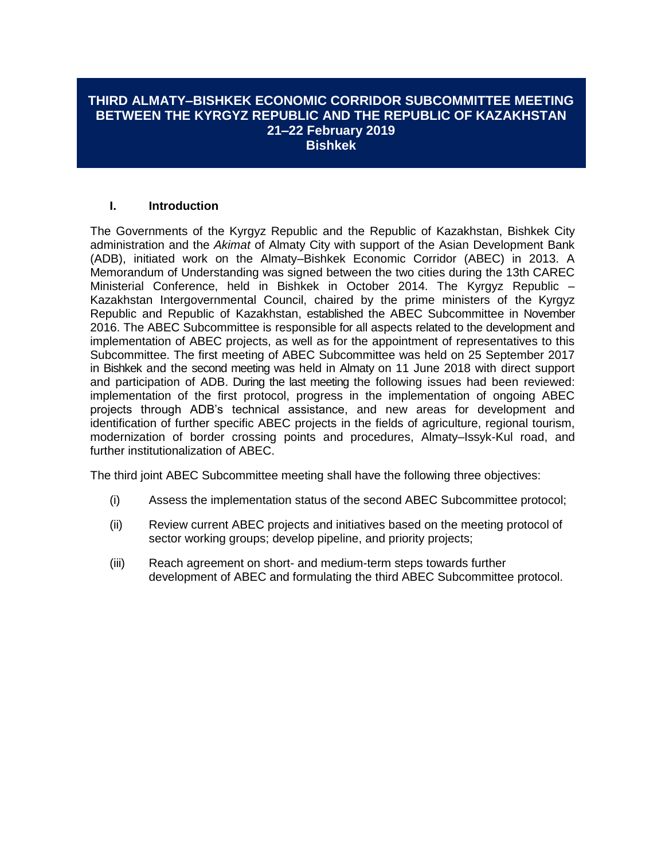## **THIRD ALMATY–BISHKEK ECONOMIC CORRIDOR SUBCOMMITTEE MEETING BETWEEN THE KYRGYZ REPUBLIC AND THE REPUBLIC OF KAZAKHSTAN 21–22 February 2019 Bishkek**

## **I. Introduction**

The Governments of the Kyrgyz Republic and the Republic of Kazakhstan, Bishkek City administration and the *Akimat* of Almaty City with support of the Asian Development Bank (ADB), initiated work on the Almaty–Bishkek Economic Corridor (ABEC) in 2013. A Memorandum of Understanding was signed between the two cities during the 13th CAREC Ministerial Conference, held in Bishkek in October 2014. The Kyrgyz Republic – Kazakhstan Intergovernmental Council, chaired by the prime ministers of the Kyrgyz Republic and Republic of Kazakhstan, established the ABEC Subcommittee in November 2016. The ABEC Subcommittee is responsible for all aspects related to the development and implementation of ABEC projects, as well as for the appointment of representatives to this Subcommittee. The first meeting of ABEC Subcommittee was held on 25 September 2017 in Bishkek and the second meeting was held in Almaty on 11 June 2018 with direct support and participation of ADB. During the last meeting the following issues had been reviewed: implementation of the first protocol, progress in the implementation of ongoing ABEC projects through ADB's technical assistance, and new areas for development and identification of further specific ABEC projects in the fields of agriculture, regional tourism, modernization of border crossing points and procedures, Almaty–Issyk-Kul road, and further institutionalization of ABEC.

The third joint ABEC Subcommittee meeting shall have the following three objectives:

- (i) Assess the implementation status of the second ABEC Subcommittee protocol;
- (ii) Review current ABEC projects and initiatives based on the meeting protocol of sector working groups; develop pipeline, and priority projects;
- (iii) Reach agreement on short- and medium-term steps towards further development of ABEC and formulating the third ABEC Subcommittee protocol.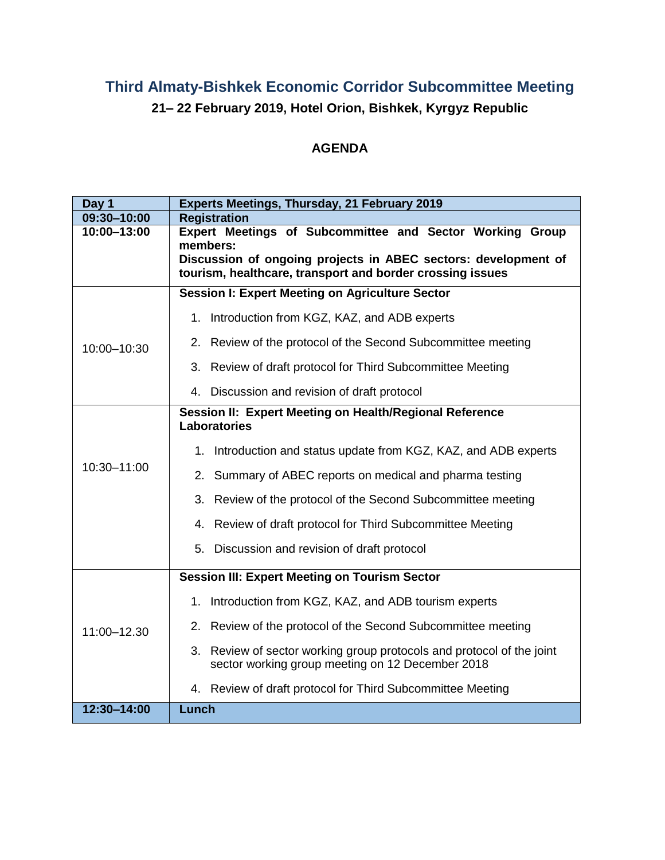## **Third Almaty-Bishkek Economic Corridor Subcommittee Meeting 21– 22 February 2019, Hotel Orion, Bishkek, Kyrgyz Republic**

## **AGENDA**

| Day 1       | Experts Meetings, Thursday, 21 February 2019                                                                                |
|-------------|-----------------------------------------------------------------------------------------------------------------------------|
| 09:30-10:00 | <b>Registration</b>                                                                                                         |
| 10:00-13:00 | Expert Meetings of Subcommittee and Sector Working Group                                                                    |
|             | members:                                                                                                                    |
|             | Discussion of ongoing projects in ABEC sectors: development of<br>tourism, healthcare, transport and border crossing issues |
|             |                                                                                                                             |
| 10:00-10:30 | <b>Session I: Expert Meeting on Agriculture Sector</b>                                                                      |
|             | 1. Introduction from KGZ, KAZ, and ADB experts                                                                              |
|             | 2. Review of the protocol of the Second Subcommittee meeting                                                                |
|             | 3. Review of draft protocol for Third Subcommittee Meeting                                                                  |
|             | 4. Discussion and revision of draft protocol                                                                                |
|             | Session II: Expert Meeting on Health/Regional Reference<br><b>Laboratories</b>                                              |
|             | Introduction and status update from KGZ, KAZ, and ADB experts<br>1.                                                         |
| 10:30-11:00 | 2. Summary of ABEC reports on medical and pharma testing                                                                    |
|             | 3.<br>Review of the protocol of the Second Subcommittee meeting                                                             |
|             | 4. Review of draft protocol for Third Subcommittee Meeting                                                                  |
|             | 5. Discussion and revision of draft protocol                                                                                |
|             | <b>Session III: Expert Meeting on Tourism Sector</b>                                                                        |
| 11:00-12.30 | Introduction from KGZ, KAZ, and ADB tourism experts<br>1.                                                                   |
|             | 2. Review of the protocol of the Second Subcommittee meeting                                                                |
|             | 3. Review of sector working group protocols and protocol of the joint<br>sector working group meeting on 12 December 2018   |
|             | 4. Review of draft protocol for Third Subcommittee Meeting                                                                  |
| 12:30-14:00 | Lunch                                                                                                                       |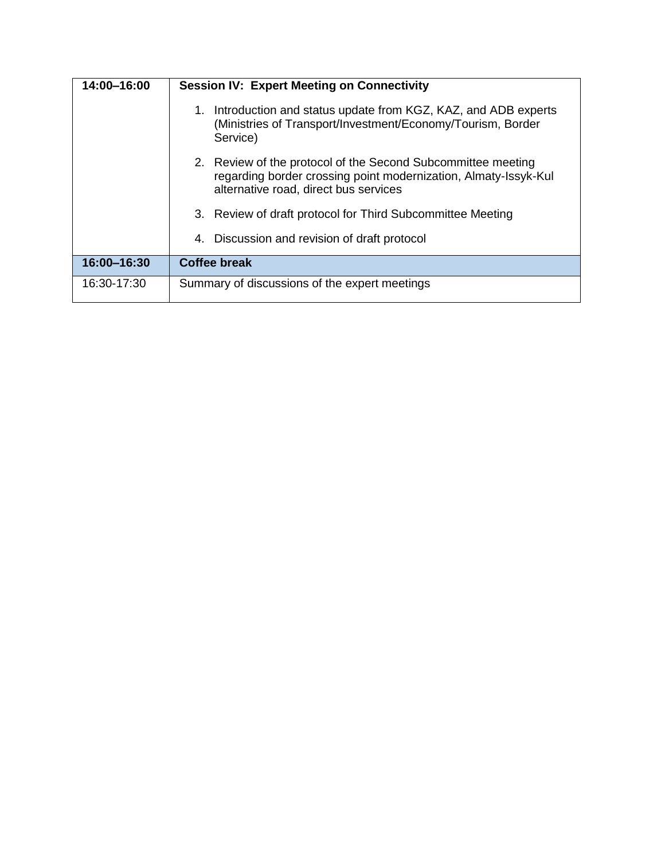| 14:00-16:00 | <b>Session IV: Expert Meeting on Connectivity</b>                                                                                                                        |
|-------------|--------------------------------------------------------------------------------------------------------------------------------------------------------------------------|
|             | Introduction and status update from KGZ, KAZ, and ADB experts<br>1.<br>(Ministries of Transport/Investment/Economy/Tourism, Border<br>Service)                           |
|             | 2. Review of the protocol of the Second Subcommittee meeting<br>regarding border crossing point modernization, Almaty-Issyk-Kul<br>alternative road, direct bus services |
|             | 3. Review of draft protocol for Third Subcommittee Meeting                                                                                                               |
|             | 4. Discussion and revision of draft protocol                                                                                                                             |
| 16:00-16:30 | <b>Coffee break</b>                                                                                                                                                      |
| 16:30-17:30 | Summary of discussions of the expert meetings                                                                                                                            |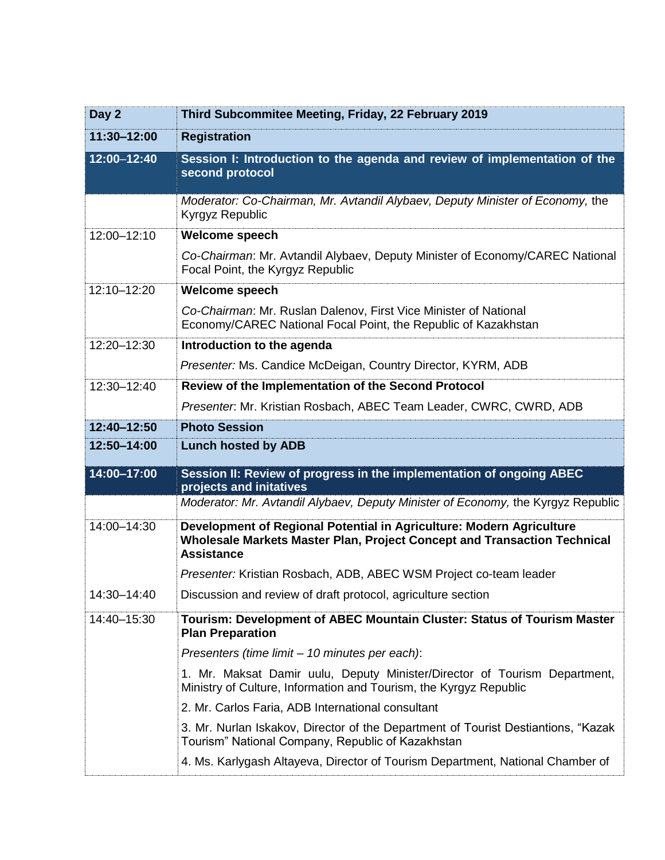| Day 2       | Third Subcommitee Meeting, Friday, 22 February 2019                                                                                                                   |
|-------------|-----------------------------------------------------------------------------------------------------------------------------------------------------------------------|
| 11:30-12:00 | <b>Registration</b>                                                                                                                                                   |
| 12:00-12:40 | Session I: Introduction to the agenda and review of implementation of the<br>second protocol                                                                          |
|             | Moderator: Co-Chairman, Mr. Avtandil Alybaev, Deputy Minister of Economy, the<br>Kyrgyz Republic                                                                      |
| 12:00-12:10 | Welcome speech                                                                                                                                                        |
|             | Co-Chairman: Mr. Avtandil Alybaev, Deputy Minister of Economy/CAREC National<br>Focal Point, the Kyrgyz Republic                                                      |
| 12:10-12:20 | <b>Welcome speech</b>                                                                                                                                                 |
|             | Co-Chairman: Mr. Ruslan Dalenov, First Vice Minister of National<br>Economy/CAREC National Focal Point, the Republic of Kazakhstan                                    |
| 12:20-12:30 | Introduction to the agenda                                                                                                                                            |
|             | Presenter: Ms. Candice McDeigan, Country Director, KYRM, ADB                                                                                                          |
| 12:30-12:40 | Review of the Implementation of the Second Protocol                                                                                                                   |
|             | Presenter: Mr. Kristian Rosbach, ABEC Team Leader, CWRC, CWRD, ADB                                                                                                    |
| 12:40-12:50 | <b>Photo Session</b>                                                                                                                                                  |
| 12:50-14:00 | <b>Lunch hosted by ADB</b>                                                                                                                                            |
| 14:00-17:00 | Session II: Review of progress in the implementation of ongoing ABEC<br>projects and initatives                                                                       |
|             | Moderator: Mr. Avtandil Alybaev, Deputy Minister of Economy, the Kyrgyz Republic                                                                                      |
|             |                                                                                                                                                                       |
| 14:00-14:30 | Development of Regional Potential in Agriculture: Modern Agriculture<br>Wholesale Markets Master Plan, Project Concept and Transaction Technical<br><b>Assistance</b> |
|             | Presenter: Kristian Rosbach, ADB, ABEC WSM Project co-team leader                                                                                                     |
| 14:30–14:40 | Discussion and review of draft protocol, agriculture section                                                                                                          |
| 14:40-15:30 | Tourism: Development of ABEC Mountain Cluster: Status of Tourism Master<br><b>Plan Preparation</b>                                                                    |
|             | Presenters (time limit - 10 minutes per each):                                                                                                                        |
|             | 1. Mr. Maksat Damir uulu, Deputy Minister/Director of Tourism Department,<br>Ministry of Culture, Information and Tourism, the Kyrgyz Republic                        |
|             | 2. Mr. Carlos Faria, ADB International consultant                                                                                                                     |
|             | 3. Mr. Nurlan Iskakov, Director of the Department of Tourist Destiantions, "Kazak<br>Tourism" National Company, Republic of Kazakhstan                                |